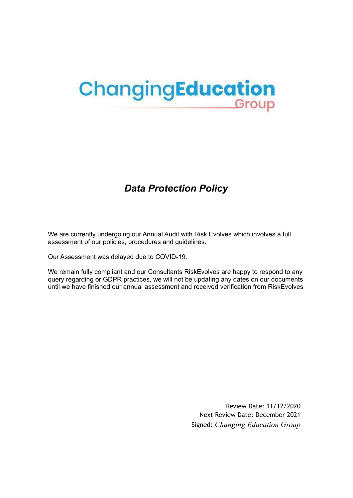# ChangingEducation Group

# *Data Protection Policy*

We are currently undergoing our Annual Audit with Risk Evolves which involves a full assessment of our policies, procedures and guidelines.

Our Assessment was delayed due to COVID-19.

We remain fully compliant and our Consultants RiskEvolves are happy to respond to any query regarding or GDPR practices, we will not be updating any dates on our documents until we have finished our annual assessment and received verification from RiskEvolves

> Review Date: 11/12/2020 Next Review Date: December 2021 Signed: *Changing Education Group*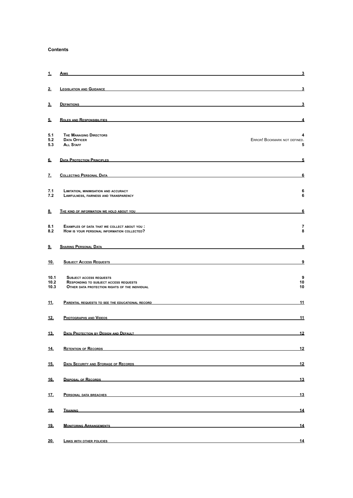#### **Contents**

| 1.                   | <b>AIMS</b>                                                                                                                                                                                                                              | $\overline{\mathbf{3}}$                |
|----------------------|------------------------------------------------------------------------------------------------------------------------------------------------------------------------------------------------------------------------------------------|----------------------------------------|
| 2.                   | <b>LEGISLATION AND GUIDANCE</b>                                                                                                                                                                                                          | $\overline{\mathbf{3}}$                |
| 3.                   | <b>DEFINITIONS</b><br>and the control of the control of the control of the control of the control of the control of the control of the                                                                                                   | 3                                      |
| 5.                   | <b>ROLES AND RESPONSIBILITIES</b>                                                                                                                                                                                                        | 4                                      |
| 5.1<br>5.2<br>5.3    | <b>THE MANAGING DIRECTORS</b><br><b>DATA OFFICER</b><br><b>ALL STAFF</b>                                                                                                                                                                 | 4<br>ERROR! BOOKMARK NOT DEFINED.<br>5 |
| 6.                   | <b>DATA PROTECTION PRINCIPLES</b>                                                                                                                                                                                                        | 5                                      |
| z.                   | <b>COLLECTING PERSONAL DATA</b>                                                                                                                                                                                                          | 6                                      |
| 7.1<br>7.2           | LIMITATION, MINIMISATION AND ACCURACY<br>LAWFULNESS, FAIRNESS AND TRANSPARENCY                                                                                                                                                           | 6<br>6                                 |
| <u>8.</u>            | THE KIND OF INFORMATION WE HOLD ABOUT YOU                                                                                                                                                                                                | $6\phantom{1}$                         |
| 8.1<br>8.2           | EXAMPLES OF DATA THAT WE COLLECT ABOUT YOU :<br>HOW IS YOUR PERSONAL INFORMATION COLLECTED?                                                                                                                                              | $\overline{7}$<br>8                    |
| 9.                   | <b>SHARING PERSONAL DATA</b>                                                                                                                                                                                                             | $\overline{\mathbf{8}}$                |
| <u>10.</u>           | <b>SUBJECT ACCESS REQUESTS</b>                                                                                                                                                                                                           | 9                                      |
| 10.1<br>10.2<br>10.3 | <b>SUBJECT ACCESS REQUESTS</b><br><b>RESPONDING TO SUBJECT ACCESS REQUESTS</b><br>OTHER DATA PROTECTION RIGHTS OF THE INDIVIDUAL                                                                                                         | 9<br>10<br>10                          |
| <u> 11.</u>          | <b>PARENTAL REQUESTS TO SEE THE EDUCATIONAL RECORD</b>                                                                                                                                                                                   | 11                                     |
| <u>12.</u>           | PHOTOGRAPHS AND VIDEOS                                                                                                                                                                                                                   | 11                                     |
| <u>13.</u>           | <b>DATA PROTECTION BY DESIGN AND DEFAULT</b>                                                                                                                                                                                             | 12                                     |
| 14.                  | <b>RETENTION OF RECORDS</b>                                                                                                                                                                                                              | 12                                     |
| <u>15.</u>           | DATA SECURITY AND STORAGE OF RECORDS                                                                                                                                                                                                     | 12                                     |
| 16.                  | DISPOSAL OF RECORDS <b>CONTRACT CONTRACT AND ACCOUNT ACCOUNT OF A CONTRACT CONTRACT OF A CONTRACT OF A CONTRACT OF A CONTRACT OF A CONTRACT OF A CONTRACT OF A CONTRACT OF A CONTRACT OF A CONTRACT OF A CONTRACT OF A CONTRACT </b>     | 13                                     |
| <u>17.</u>           | <b>PERSONAL DATA BREACHES Example 2020 CONTRACT AND INCOMERCIAL CONTRACT OF A SET OF A SET OF A SET OF A SET OF A SET OF A SET OF A SET OF A SET OF A SET OF A SET OF A SET OF A SET OF A SET OF A SET OF A SET OF A SET OF </b>         | 13                                     |
| 18.                  | <b>TRAINING <i>CONTRACTE CONTRACTE CONTRACTE CONTRACTE CONTRACTE CONTRACTE CONTRACTE CONTRACTE CONTRACTE CONTRACTE CONTRACTE CONTRACTE CONTRACTE CONTRACTE CONTRACTE CONTRACTE CONTRACTE CONTRACTE CONTRACTE CONTRACTE CONTRACTE</i></b> | 14                                     |
| 19.                  | <u>Monitoring Arrangements</u> and the contract of the contract of the contract of the contract of the contract of the contract of the contract of the contract of the contract of the contract of the contract of the contract of       | 14                                     |
| 20.                  | <b>LINKS WITH OTHER POLICIES</b>                                                                                                                                                                                                         | 14                                     |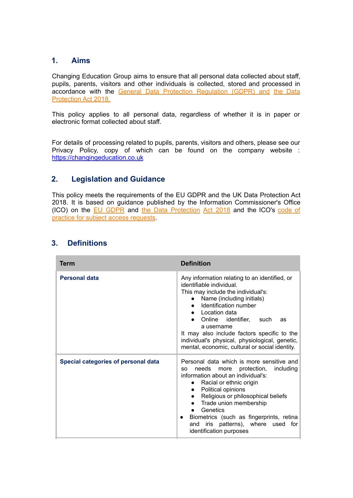# <span id="page-2-0"></span>**1. Aims**

Changing Education Group aims to ensure that all personal data collected about staff, pupils, parents, visitors and other individuals is collected, stored and processed in accordance with the General Data Protection Regulation (GDPR) and the Data Protection Act 2018.

This policy applies to all personal data, regardless of whether it is in paper or electronic format collected about staff.

For details of processing related to pupils, parents, visitors and others, please see our Privacy Policy, copy of which can be found on the company website : <https://changingeducation.co.uk>

# <span id="page-2-1"></span>**2. Legislation and Guidance**

This policy meets the requirements of the EU GDPR and the UK Data Protection Act 2018. It is based on guidance published by the Information Commissioner's Office (ICO) on the EU GDPR and the Data Protection Act 2018 and the ICO's code of practice for subject access requests.

| Term                                       | <b>Definition</b>                                                                                                                                                                                                                                                                                                                                                                                                                                                 |
|--------------------------------------------|-------------------------------------------------------------------------------------------------------------------------------------------------------------------------------------------------------------------------------------------------------------------------------------------------------------------------------------------------------------------------------------------------------------------------------------------------------------------|
| <b>Personal data</b>                       | Any information relating to an identified, or<br>identifiable individual.<br>This may include the individual's:<br>• Name (including initials)<br>Identification number<br>$\bullet$<br>• Location data<br>Online identifier, such<br>as<br>a username<br>It may also include factors specific to the<br>individual's physical, physiological, genetic,<br>mental, economic, cultural or social identity.                                                         |
| <b>Special categories of personal data</b> | Personal data which is more sensitive and<br>more protection,<br>including<br>needs<br><b>SO</b><br>information about an individual's:<br>Racial or ethnic origin<br>$\bullet$<br>Political opinions<br>$\bullet$<br>Religious or philosophical beliefs<br>$\bullet$<br>Trade union membership<br>$\bullet$<br>Genetics<br>$\bullet$<br>Biometrics (such as fingerprints, retina<br>$\bullet$<br>and iris patterns), where used<br>for<br>identification purposes |

# <span id="page-2-2"></span>**3. Definitions**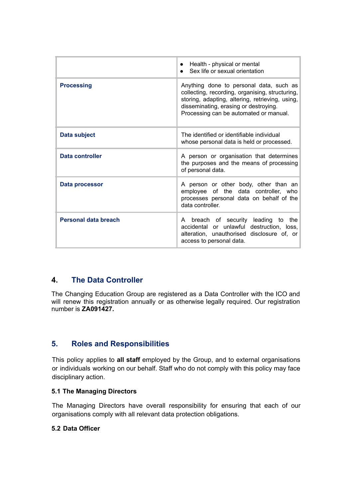|                      | • Health - physical or mental<br>Sex life or sexual orientation                                                                                                                                                                  |
|----------------------|----------------------------------------------------------------------------------------------------------------------------------------------------------------------------------------------------------------------------------|
| <b>Processing</b>    | Anything done to personal data, such as<br>collecting, recording, organising, structuring,<br>storing, adapting, altering, retrieving, using,<br>disseminating, erasing or destroying.<br>Processing can be automated or manual. |
| Data subject         | The identified or identifiable individual<br>whose personal data is held or processed.                                                                                                                                           |
| Data controller      | A person or organisation that determines<br>the purposes and the means of processing<br>of personal data.                                                                                                                        |
| Data processor       | A person or other body, other than an<br>employee of the data controller, who<br>processes personal data on behalf of the<br>data controller.                                                                                    |
| Personal data breach | breach of security leading to<br>the<br>A<br>accidental or unlawful destruction, loss,<br>alteration, unauthorised<br>disclosure of, or<br>access to personal data.                                                              |

# **4. The Data Controller**

The Changing Education Group are registered as a Data Controller with the ICO and will renew this registration annually or as otherwise legally required. Our registration number is **ZA091427.**

# <span id="page-4-0"></span>**5. Roles and Responsibilities**

This policy applies to **all staff** employed by the Group, and to external organisations or individuals working on our behalf. Staff who do not comply with this policy may face disciplinary action.

#### <span id="page-4-1"></span>**5.1 The Managing Directors**

The Managing Directors have overall responsibility for ensuring that each of our organisations comply with all relevant data protection obligations.

#### **5.2 Data Officer**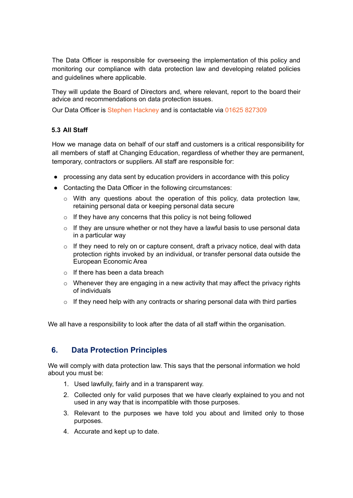The Data Officer is responsible for overseeing the implementation of this policy and monitoring our compliance with data protection law and developing related policies and guidelines where applicable.

They will update the Board of Directors and, where relevant, report to the board their advice and recommendations on data protection issues.

Our Data Officer is Stephen Hackney and is contactable via 01625 827309

#### <span id="page-5-0"></span>**5.3 All Staff**

How we manage data on behalf of our staff and customers is a critical responsibility for all members of staff at Changing Education, regardless of whether they are permanent, temporary, contractors or suppliers. All staff are responsible for:

- processing any data sent by education providers in accordance with this policy
- Contacting the Data Officer in the following circumstances:
	- $\circ$  With any questions about the operation of this policy, data protection law, retaining personal data or keeping personal data secure
	- $\circ$  If they have any concerns that this policy is not being followed
	- $\circ$  If they are unsure whether or not they have a lawful basis to use personal data in a particular way
	- $\circ$  If they need to rely on or capture consent, draft a privacy notice, deal with data protection rights invoked by an individual, or transfer personal data outside the European Economic Area
	- $\circ$  If there has been a data breach
	- $\circ$  Whenever they are engaging in a new activity that may affect the privacy rights of individuals
	- $\circ$  If they need help with any contracts or sharing personal data with third parties

We all have a responsibility to look after the data of all staff within the organisation.

# <span id="page-5-1"></span>**6. Data Protection Principles**

We will comply with data protection law. This says that the personal information we hold about you must be:

- 1. Used lawfully, fairly and in a transparent way.
- 2. Collected only for valid purposes that we have clearly explained to you and not used in any way that is incompatible with those purposes.
- 3. Relevant to the purposes we have told you about and limited only to those purposes.
- 4. Accurate and kept up to date.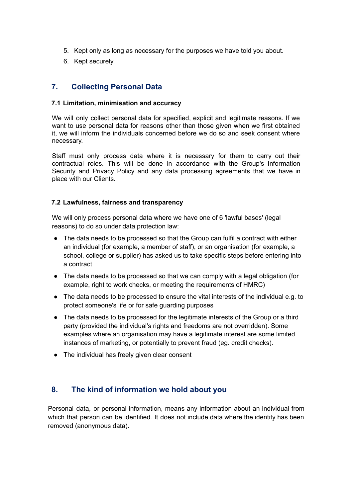- 5. Kept only as long as necessary for the purposes we have told you about.
- 6. Kept securely.

# <span id="page-6-0"></span>**7. Collecting Personal Data**

#### <span id="page-6-1"></span>**7.1 Limitation, minimisation and accuracy**

We will only collect personal data for specified, explicit and legitimate reasons. If we want to use personal data for reasons other than those given when we first obtained it, we will inform the individuals concerned before we do so and seek consent where necessary.

Staff must only process data where it is necessary for them to carry out their contractual roles. This will be done in accordance with the Group's Information Security and Privacy Policy and any data processing agreements that we have in place with our Clients.

#### <span id="page-6-2"></span>**7.2 Lawfulness, fairness and transparency**

We will only process personal data where we have one of 6 'lawful bases' (legal reasons) to do so under data protection law:

- The data needs to be processed so that the Group can fulfil a contract with either an individual (for example, a member of staff), or an organisation (for example, a school, college or supplier) has asked us to take specific steps before entering into a contract
- The data needs to be processed so that we can comply with a legal obligation (for example, right to work checks, or meeting the requirements of HMRC)
- The data needs to be processed to ensure the vital interests of the individual e.g. to protect someone's life or for safe guarding purposes
- The data needs to be processed for the legitimate interests of the Group or a third party (provided the individual's rights and freedoms are not overridden). Some examples where an organisation may have a legitimate interest are some limited instances of marketing, or potentially to prevent fraud (eg. credit checks).
- The individual has freely given clear consent

# <span id="page-6-3"></span>**8. The kind of information we hold about you**

Personal data, or personal information, means any information about an individual from which that person can be identified. It does not include data where the identity has been removed (anonymous data).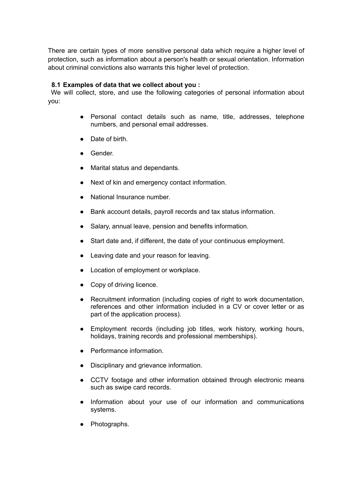There are certain types of more sensitive personal data which require a higher level of protection, such as information about a person's health or sexual orientation. Information about criminal convictions also warrants this higher level of protection.

#### <span id="page-7-0"></span>**8.1 Examples of data that we collect about you :**

We will collect, store, and use the following categories of personal information about you:

- Personal contact details such as name, title, addresses, telephone numbers, and personal email addresses.
- Date of birth.
- Gender.
- Marital status and dependants.
- Next of kin and emergency contact information.
- National Insurance number.
- Bank account details, payroll records and tax status information.
- Salary, annual leave, pension and benefits information.
- Start date and, if different, the date of your continuous employment.
- Leaving date and your reason for leaving.
- Location of employment or workplace.
- Copy of driving licence.
- Recruitment information (including copies of right to work documentation, references and other information included in a CV or cover letter or as part of the application process).
- Employment records (including job titles, work history, working hours, holidays, training records and professional memberships).
- Performance information.
- Disciplinary and grievance information.
- CCTV footage and other information obtained through electronic means such as swipe card records.
- Information about your use of our information and communications systems.
- Photographs.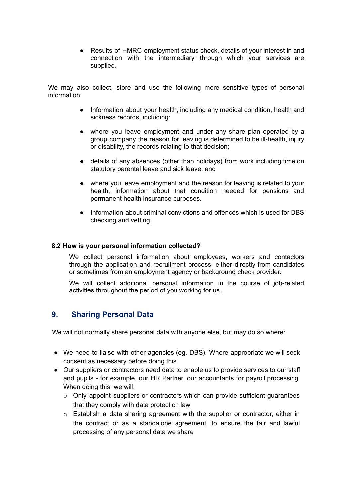● Results of HMRC employment status check, details of your interest in and connection with the intermediary through which your services are supplied.

We may also collect, store and use the following more sensitive types of personal information:

- Information about your health, including any medical condition, health and sickness records, including:
- where you leave employment and under any share plan operated by a group company the reason for leaving is determined to be ill-health, injury or disability, the records relating to that decision;
- details of any absences (other than holidays) from work including time on statutory parental leave and sick leave; and
- where you leave employment and the reason for leaving is related to your health, information about that condition needed for pensions and permanent health insurance purposes.
- Information about criminal convictions and offences which is used for DBS checking and vetting.

#### <span id="page-8-0"></span>**8.2 How is your personal information collected?**

We collect personal information about employees, workers and contactors through the application and recruitment process, either directly from candidates or sometimes from an employment agency or background check provider.

We will collect additional personal information in the course of job-related activities throughout the period of you working for us.

#### <span id="page-8-1"></span>**9. Sharing Personal Data**

We will not normally share personal data with anyone else, but may do so where:

- We need to liaise with other agencies (eg. DBS). Where appropriate we will seek consent as necessary before doing this
- Our suppliers or contractors need data to enable us to provide services to our staff and pupils - for example, our HR Partner, our accountants for payroll processing. When doing this, we will:
	- o Only appoint suppliers or contractors which can provide sufficient guarantees that they comply with data protection law
	- $\circ$  Establish a data sharing agreement with the supplier or contractor, either in the contract or as a standalone agreement, to ensure the fair and lawful processing of any personal data we share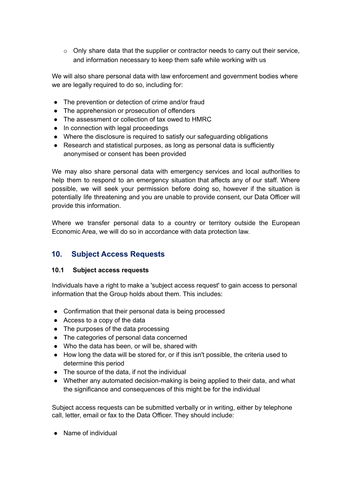$\circ$  Only share data that the supplier or contractor needs to carry out their service, and information necessary to keep them safe while working with us

We will also share personal data with law enforcement and government bodies where we are legally required to do so, including for:

- The prevention or detection of crime and/or fraud
- The apprehension or prosecution of offenders
- The assessment or collection of tax owed to HMRC
- In connection with legal proceedings
- Where the disclosure is required to satisfy our safeguarding obligations
- Research and statistical purposes, as long as personal data is sufficiently anonymised or consent has been provided

We may also share personal data with emergency services and local authorities to help them to respond to an emergency situation that affects any of our staff. Where possible, we will seek your permission before doing so, however if the situation is potentially life threatening and you are unable to provide consent, our Data Officer will provide this information.

Where we transfer personal data to a country or territory outside the European Economic Area, we will do so in accordance with data protection law.

# <span id="page-9-0"></span>**10. Subject Access Requests**

#### <span id="page-9-1"></span>**10.1 Subject access requests**

Individuals have a right to make a 'subject access request' to gain access to personal information that the Group holds about them. This includes:

- Confirmation that their personal data is being processed
- Access to a copy of the data
- The purposes of the data processing
- The categories of personal data concerned
- Who the data has been, or will be, shared with
- How long the data will be stored for, or if this isn't possible, the criteria used to determine this period
- The source of the data, if not the individual
- Whether any automated decision-making is being applied to their data, and what the significance and consequences of this might be for the individual

Subject access requests can be submitted verbally or in writing, either by telephone call, letter, email or fax to the Data Officer. They should include:

● Name of individual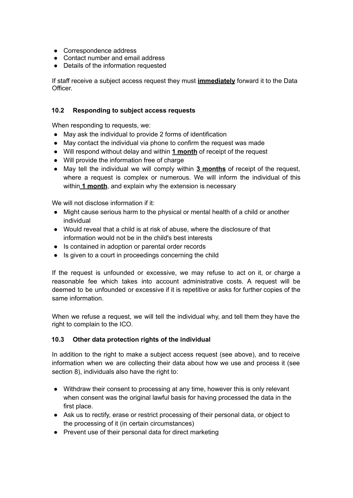- Correspondence address
- Contact number and email address
- Details of the information requested

If staff receive a subject access request they must **immediately** forward it to the Data Officer.

#### <span id="page-10-0"></span>**10.2 Responding to subject access requests**

When responding to requests, we:

- May ask the individual to provide 2 forms of identification
- May contact the individual via phone to confirm the request was made
- Will respond without delay and within **1 month** of receipt of the request
- Will provide the information free of charge
- May tell the individual we will comply within **3 months** of receipt of the request, where a request is complex or numerous. We will inform the individual of this within **1 month**, and explain why the extension is necessary

We will not disclose information if it:

- Might cause serious harm to the physical or mental health of a child or another individual
- Would reveal that a child is at risk of abuse, where the disclosure of that information would not be in the child's best interests
- Is contained in adoption or parental order records
- Is given to a court in proceedings concerning the child

If the request is unfounded or excessive, we may refuse to act on it, or charge a reasonable fee which takes into account administrative costs. A request will be deemed to be unfounded or excessive if it is repetitive or asks for further copies of the same information.

When we refuse a request, we will tell the individual why, and tell them they have the right to complain to the ICO.

#### <span id="page-10-1"></span>**10.3 Other data protection rights of the individual**

In addition to the right to make a subject access request (see above), and to receive information when we are collecting their data about how we use and process it (see section 8), individuals also have the right to:

- Withdraw their consent to processing at any time, however this is only relevant when consent was the original lawful basis for having processed the data in the first place.
- Ask us to rectify, erase or restrict processing of their personal data, or object to the processing of it (in certain circumstances)
- Prevent use of their personal data for direct marketing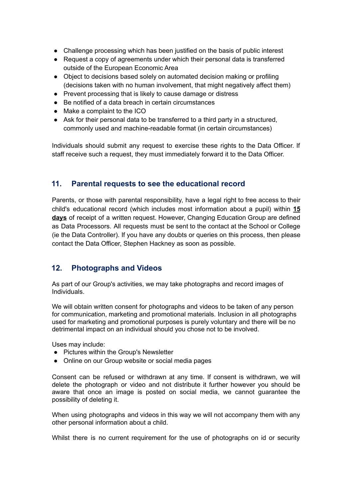- Challenge processing which has been justified on the basis of public interest
- Request a copy of agreements under which their personal data is transferred outside of the European Economic Area
- Object to decisions based solely on automated decision making or profiling (decisions taken with no human involvement, that might negatively affect them)
- Prevent processing that is likely to cause damage or distress
- Be notified of a data breach in certain circumstances
- Make a complaint to the ICO
- Ask for their personal data to be transferred to a third party in a structured, commonly used and machine-readable format (in certain circumstances)

Individuals should submit any request to exercise these rights to the Data Officer. If staff receive such a request, they must immediately forward it to the Data Officer.

# <span id="page-11-0"></span>**11. Parental requests to see the educational record**

Parents, or those with parental responsibility, have a legal right to free access to their child's educational record (which includes most information about a pupil) within **15 days** of receipt of a written request. However, Changing Education Group are defined as Data Processors. All requests must be sent to the contact at the School or College (ie the Data Controller). If you have any doubts or queries on this process, then please contact the Data Officer, Stephen Hackney as soon as possible.

# <span id="page-11-1"></span>**12. Photographs and Videos**

As part of our Group's activities, we may take photographs and record images of Individuals.

We will obtain written consent for photographs and videos to be taken of any person for communication, marketing and promotional materials. Inclusion in all photographs used for marketing and promotional purposes is purely voluntary and there will be no detrimental impact on an individual should you chose not to be involved.

Uses may include:

- Pictures within the Group's Newsletter
- Online on our Group website or social media pages

Consent can be refused or withdrawn at any time. If consent is withdrawn, we will delete the photograph or video and not distribute it further however you should be aware that once an image is posted on social media, we cannot guarantee the possibility of deleting it.

When using photographs and videos in this way we will not accompany them with any other personal information about a child.

Whilst there is no current requirement for the use of photographs on id or security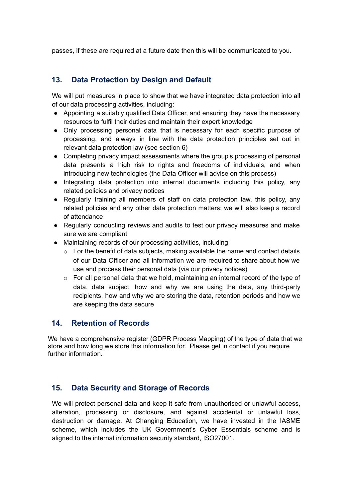passes, if these are required at a future date then this will be communicated to you.

# <span id="page-12-0"></span>**13. Data Protection by Design and Default**

We will put measures in place to show that we have integrated data protection into all of our data processing activities, including:

- Appointing a suitably qualified Data Officer, and ensuring they have the necessary resources to fulfil their duties and maintain their expert knowledge
- Only processing personal data that is necessary for each specific purpose of processing, and always in line with the data protection principles set out in relevant data protection law (see section 6)
- Completing privacy impact assessments where the group's processing of personal data presents a high risk to rights and freedoms of individuals, and when introducing new technologies (the Data Officer will advise on this process)
- Integrating data protection into internal documents including this policy, any related policies and privacy notices
- Regularly training all members of staff on data protection law, this policy, any related policies and any other data protection matters; we will also keep a record of attendance
- Regularly conducting reviews and audits to test our privacy measures and make sure we are compliant
- Maintaining records of our processing activities, including:
	- $\circ$  For the benefit of data subjects, making available the name and contact details of our Data Officer and all information we are required to share about how we use and process their personal data (via our privacy notices)
	- o For all personal data that we hold, maintaining an internal record of the type of data, data subject, how and why we are using the data, any third-party recipients, how and why we are storing the data, retention periods and how we are keeping the data secure

# <span id="page-12-1"></span>**14. Retention of Records**

We have a comprehensive register (GDPR Process Mapping) of the type of data that we store and how long we store this information for. Please get in contact if you require further information.

# <span id="page-12-2"></span>**15. Data Security and Storage of Records**

We will protect personal data and keep it safe from unauthorised or unlawful access, alteration, processing or disclosure, and against accidental or unlawful loss, destruction or damage. At Changing Education, we have invested in the IASME scheme, which includes the UK Government's Cyber Essentials scheme and is aligned to the internal information security standard, ISO27001.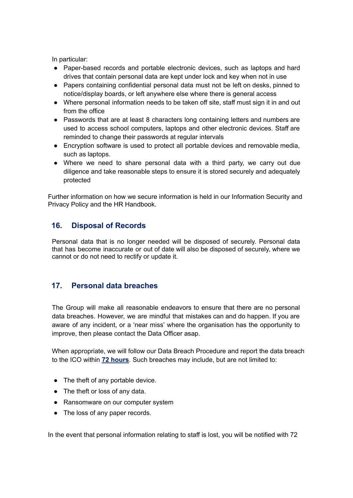In particular:

- Paper-based records and portable electronic devices, such as laptops and hard drives that contain personal data are kept under lock and key when not in use
- Papers containing confidential personal data must not be left on desks, pinned to notice/display boards, or left anywhere else where there is general access
- Where personal information needs to be taken off site, staff must sign it in and out from the office
- Passwords that are at least 8 characters long containing letters and numbers are used to access school computers, laptops and other electronic devices. Staff are reminded to change their passwords at regular intervals
- Encryption software is used to protect all portable devices and removable media, such as laptops.
- Where we need to share personal data with a third party, we carry out due diligence and take reasonable steps to ensure it is stored securely and adequately protected

Further information on how we secure information is held in our Information Security and Privacy Policy and the HR Handbook.

# <span id="page-13-0"></span>**16. Disposal of Records**

Personal data that is no longer needed will be disposed of securely. Personal data that has become inaccurate or out of date will also be disposed of securely, where we cannot or do not need to rectify or update it.

# <span id="page-13-1"></span>**17. Personal data breaches**

The Group will make all reasonable endeavors to ensure that there are no personal data breaches. However, we are mindful that mistakes can and do happen. If you are aware of any incident, or a 'near miss' where the organisation has the opportunity to improve, then please contact the Data Officer asap.

When appropriate, we will follow our Data Breach Procedure and report the data breach to the ICO within **72 hours**. Such breaches may include, but are not limited to:

- The theft of any portable device.
- The theft or loss of any data.
- Ransomware on our computer system
- The loss of any paper records.

In the event that personal information relating to staff is lost, you will be notified with 72